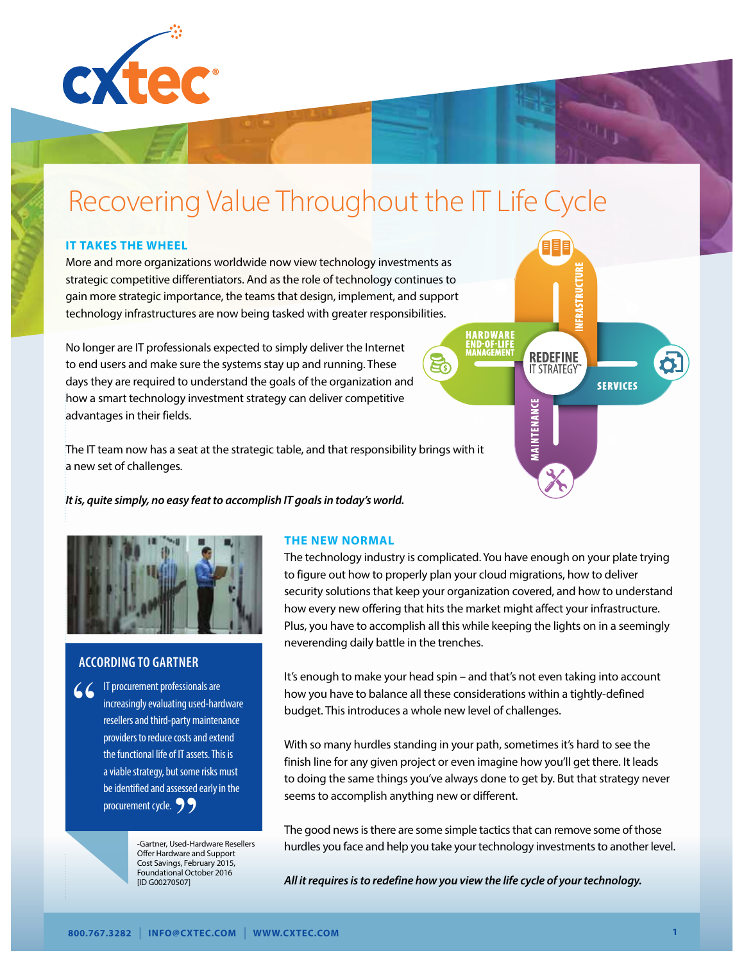

# Recovering Value Throughout the IT Life Cycle

#### **IT TAKES THE WHEEL**

More and more organizations worldwide now view technology investments as strategic competitive differentiators. And as the role of technology continues to gain more strategic importance, the teams that design, implement, and support technology infrastructures are now being tasked with greater responsibilities.

No longer are IT professionals expected to simply deliver the Internet to end users and make sure the systems stay up and running. These days they are required to understand the goals of the organization and how a smart technology investment strategy can deliver competitive advantages in their fields.

The IT team now has a seat at the strategic table, and that responsibility brings with it a new set of challenges.

*It is, quite simply, no easy feat to accomplish IT goals in today's world.*



# **ACCORDING TO GARTNER**

 $66$ IT procurement professionals are increasingly evaluating used-hardware resellers and third-party maintenance providers to reduce costs and extend the functional life of IT assets. This is a viable strategy, but some risks must be identified and assessed early in the procurement cycle. <br>
Procurement cycle. <br>
Cartner, Used-Handel Coffer Hardware and

-Gartner, Used-Hardware Resellers Offer Hardware and Support Cost Savings, February 2015, Foundational October 2016 [ID G00270507]

#### **THE NEW NORMAL**

The technology industry is complicated. You have enough on your plate trying to figure out how to properly plan your cloud migrations, how to deliver security solutions that keep your organization covered, and how to understand how every new offering that hits the market might affect your infrastructure. Plus, you have to accomplish all this while keeping the lights on in a seemingly neverending daily battle in the trenches.

ਬਿੰ

**REDEFINE** 

**IT STRATEGY** 

UVAVILINING

**SERVICES** 

It's enough to make your head spin – and that's not even taking into account how you have to balance all these considerations within a tightly-defined budget. This introduces a whole new level of challenges.

With so many hurdles standing in your path, sometimes it's hard to see the finish line for any given project or even imagine how you'll get there. It leads to doing the same things you've always done to get by. But that strategy never seems to accomplish anything new or different.

The good news is there are some simple tactics that can remove some of those hurdles you face and help you take your technology investments to another level.

*All it requires is to redefine how you view the life cycle of your technology.*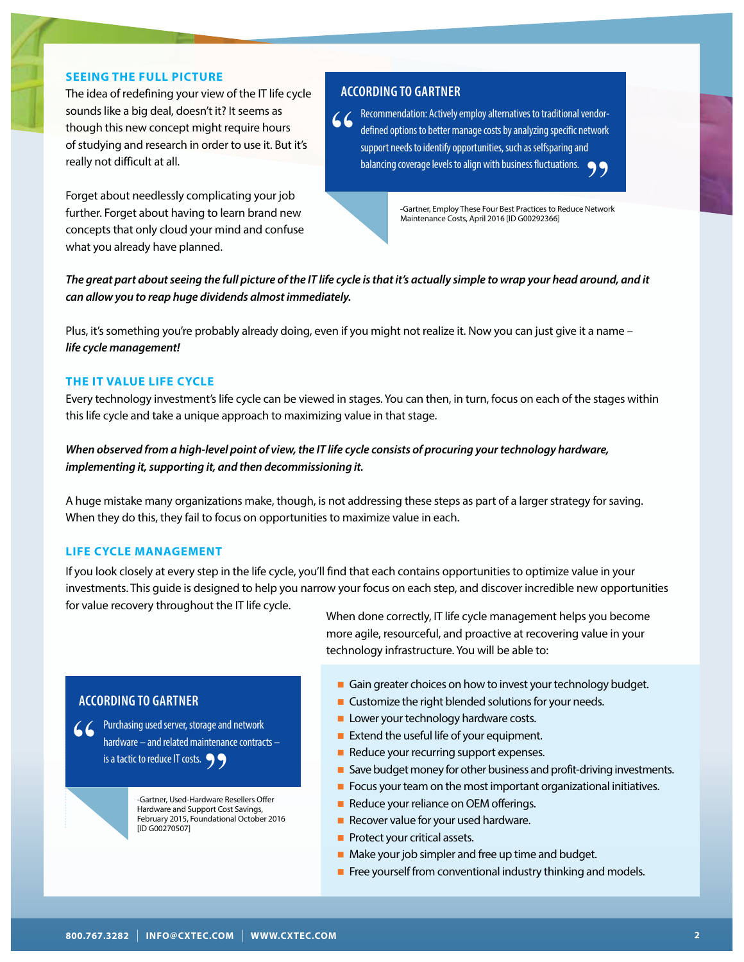#### **SEEING THE FULL PICTURE**

The idea of redefining your view of the IT life cycle sounds like a big deal, doesn't it? It seems as though this new concept might require hours of studying and research in order to use it. But it's really not difficult at all.

Forget about needlessly complicating your job further. Forget about having to learn brand new concepts that only cloud your mind and confuse what you already have planned.

#### **ACCORDING TO GARTNER**

" Recommendation: Actively employ alternatives to traditional vendordefined options to better manage costs by analyzing specific network support needs to identify opportunities, such as selfsparing and balancing coverage levels to align with business fluctuations. 99

> -Gartner, Employ These Four Best Practices to Reduce Network Maintenance Costs, April 2016 [ID G00292366]

*The great part about seeing the full picture of the IT life cycle is that it's actually simple to wrap your head around, and it can allow you to reap huge dividends almost immediately.*

Plus, it's something you're probably already doing, even if you might not realize it. Now you can just give it a name – *life cycle management!*

#### **THE IT VALUE LIFE CYCLE**

Every technology investment's life cycle can be viewed in stages. You can then, in turn, focus on each of the stages within this life cycle and take a unique approach to maximizing value in that stage.

# *When observed from a high-level point of view, the IT life cycle consists of procuring your technology hardware, implementing it, supporting it, and then decommissioning it.*

A huge mistake many organizations make, though, is not addressing these steps as part of a larger strategy for saving. When they do this, they fail to focus on opportunities to maximize value in each.

#### **LIFE CYCLE MANAGEMENT**

If you look closely at every step in the life cycle, you'll find that each contains opportunities to optimize value in your investments. This guide is designed to help you narrow your focus on each step, and discover incredible new opportunities for value recovery throughout the IT life cycle.

When done correctly, IT life cycle management helps you become

# **ACCORDING TO GARTNER**

" Purchasing used server, storage and network hardware – and related maintenance contracts – is a tactic to reduce IT costs.<br>
-Gartner, Used-Hardware Representation<br>
Hardware and Support Cos

-Gartner, Used-Hardware Resellers Offer Hardware and Support Cost Savings, February 2015, Foundational October 2016 [ID G00270507]

more agile, resourceful, and proactive at recovering value in your technology infrastructure. You will be able to:

- **n** Gain greater choices on how to invest your technology budget.
- $\blacksquare$  Customize the right blended solutions for your needs.
- **n** Lower your technology hardware costs.
- Extend the useful life of your equipment.
- Reduce your recurring support expenses.
- Save budget money for other business and profit-driving investments.
- $\blacksquare$  Focus your team on the most important organizational initiatives.
- Reduce your reliance on OEM offerings.
- Recover value for your used hardware.
- **Protect your critical assets.**
- $\blacksquare$  Make your job simpler and free up time and budget.
- $\blacksquare$  Free yourself from conventional industry thinking and models.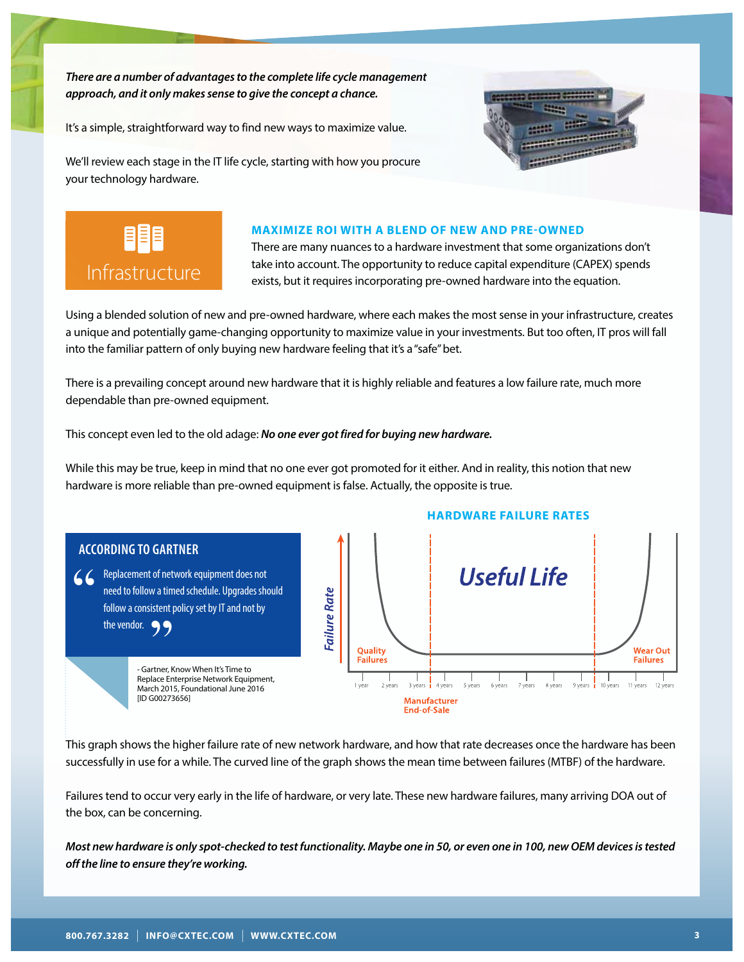*There are a number of advantages to the complete life cycle management approach, and it only makes sense to give the concept a chance.* 

It's a simple, straightforward way to find new ways to maximize value.



We'll review each stage in the IT life cycle, starting with how you procure your technology hardware.



#### **MAXIMIZE ROI WITH A BLEND OF NEW AND PRE-OWNED**

There are many nuances to a hardware investment that some organizations don't take into account. The opportunity to reduce capital expenditure (CAPEX) spends exists, but it requires incorporating pre-owned hardware into the equation.

Using a blended solution of new and pre-owned hardware, where each makes the most sense in your infrastructure, creates a unique and potentially game-changing opportunity to maximize value in your investments. But too often, IT pros will fall into the familiar pattern of only buying new hardware feeling that it's a "safe" bet.

There is a prevailing concept around new hardware that it is highly reliable and features a low failure rate, much more dependable than pre-owned equipment.

This concept even led to the old adage: *No one ever got fired for buying new hardware.*

While this may be true, keep in mind that no one ever got promoted for it either. And in reality, this notion that new hardware is more reliable than pre-owned equipment is false. Actually, the opposite is true.



This graph shows the higher failure rate of new network hardware, and how that rate decreases once the hardware has been successfully in use for a while. The curved line of the graph shows the mean time between failures (MTBF) of the hardware.

Failures tend to occur very early in the life of hardware, or very late. These new hardware failures, many arriving DOA out of the box, can be concerning.

*Most new hardware is only spot-checked to test functionality. Maybe one in 50, or even one in 100, new OEM devices is tested off the line to ensure they're working.*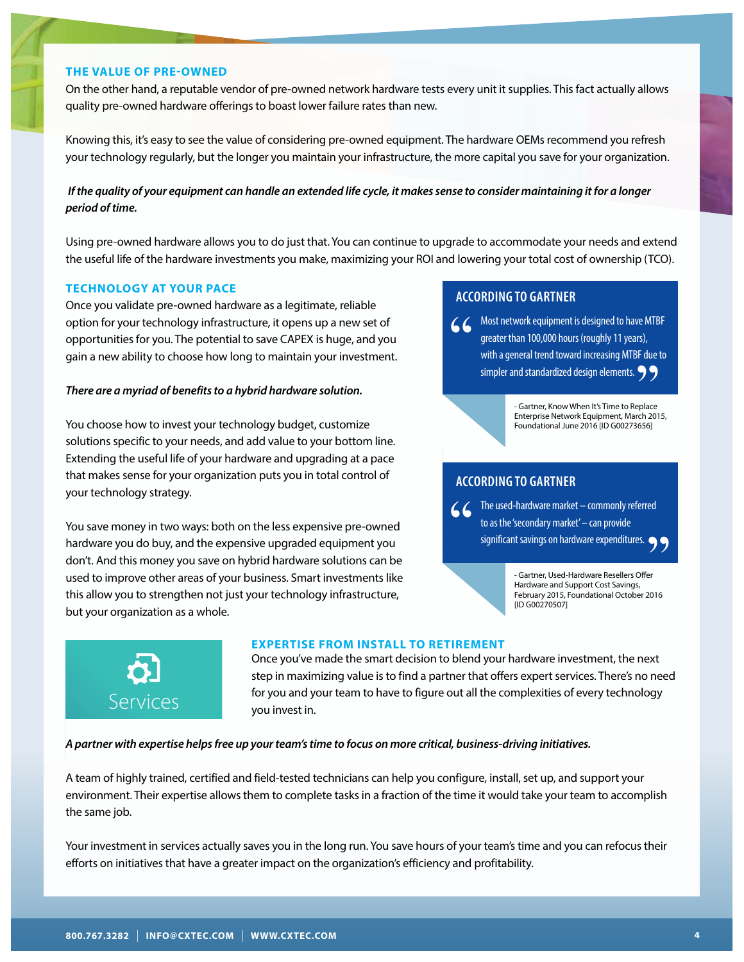#### **THE VALUE OF PRE-OWNED**

On the other hand, a reputable vendor of pre-owned network hardware tests every unit it supplies. This fact actually allows quality pre-owned hardware offerings to boast lower failure rates than new.

Knowing this, it's easy to see the value of considering pre-owned equipment. The hardware OEMs recommend you refresh your technology regularly, but the longer you maintain your infrastructure, the more capital you save for your organization.

## *If the quality of your equipment can handle an extended life cycle, it makes sense to consider maintaining it for a longer period of time.*

Using pre-owned hardware allows you to do just that. You can continue to upgrade to accommodate your needs and extend the useful life of the hardware investments you make, maximizing your ROI and lowering your total cost of ownership (TCO).

#### **TECHNOLOGY AT YOUR PACE**

Once you validate pre-owned hardware as a legitimate, reliable option for your technology infrastructure, it opens up a new set of opportunities for you. The potential to save CAPEX is huge, and you gain a new ability to choose how long to maintain your investment.

#### *There are a myriad of benefits to a hybrid hardware solution.*

You choose how to invest your technology budget, customize solutions specific to your needs, and add value to your bottom line. Extending the useful life of your hardware and upgrading at a pace that makes sense for your organization puts you in total control of your technology strategy.

You save money in two ways: both on the less expensive pre-owned hardware you do buy, and the expensive upgraded equipment you don't. And this money you save on hybrid hardware solutions can be used to improve other areas of your business. Smart investments like this allow you to strengthen not just your technology infrastructure, but your organization as a whole.

# **ACCORDING TO GARTNER**

**CC** Most network equipment is designed to have MTBF greater than 100,000 hours (roughly 11 years), with a general trend toward increasing MTBF due to simpler and standardized design elements. greater than 100,000 hours (roughly 11 years), with a general trend toward increasing MTBF due to

simpler and standardized design elements.<br>
- Gartner, Know When It's Time to Replace<br>
Enterprise Network Equipment, March 2011<br>
Sumburg 2014 IID G007726561 - Gartner, Know When It's Time to Replace Enterprise Network Equipment, March 2015, Foundational June 2016 [ID G00273656]

# **ACCORDING TO GARTNER**

GC The used-hardware market – commonly referred<br>to as the 'secondary market' – can provide<br>significant savings on hardware expenditures. to as the 'secondary market' – can provide significant savings on hardware expenditures.  $\bullet$ 

- Gartner, Used-Hardware Resellers Offer Hardware and Support Cost Savings, February 2015, Foundational October 2016 [ID G00270507]  $^{199}$ <br>fer<br>2016



#### **EXPERTISE FROM INSTALL TO RETIREMENT**

Once you've made the smart decision to blend your hardware investment, the next step in maximizing value is to find a partner that offers expert services. There's no need for you and your team to have to figure out all the complexities of every technology you invest in.

*A partner with expertise helps free up your team's time to focus on more critical, business-driving initiatives.*

A team of highly trained, certified and field-tested technicians can help you configure, install, set up, and support your environment. Their expertise allows them to complete tasks in a fraction of the time it would take your team to accomplish the same job.

Your investment in services actually saves you in the long run. You save hours of your team's time and you can refocus their efforts on initiatives that have a greater impact on the organization's efficiency and profitability.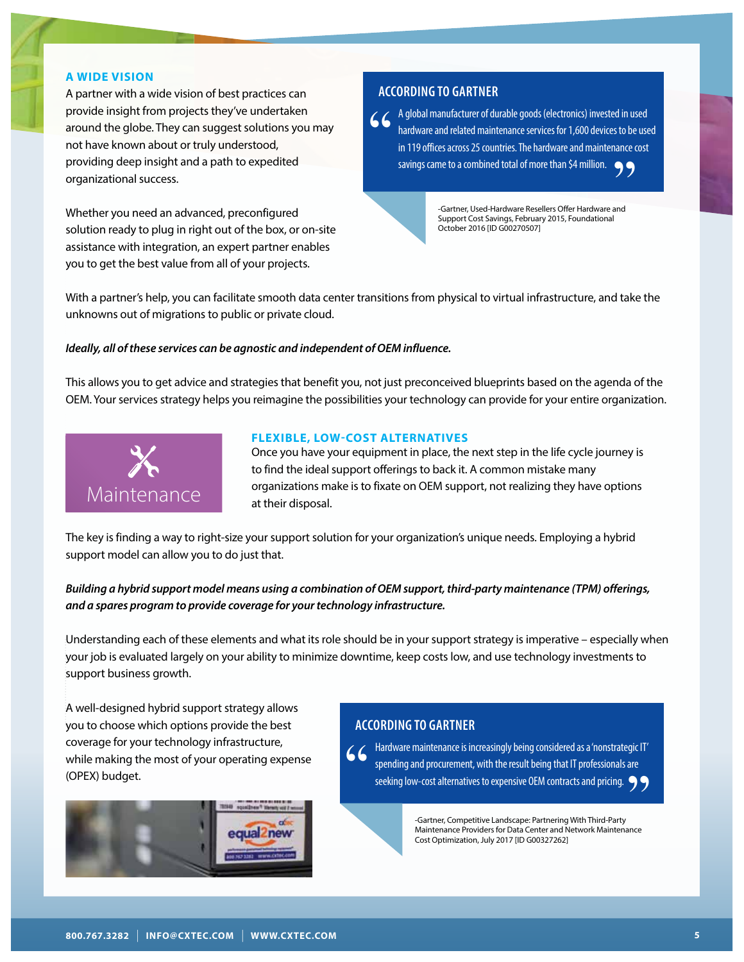#### **A WIDE VISION**

A partner with a wide vision of best practices can provide insight from projects they've undertaken around the globe. They can suggest solutions you may not have known about or truly understood, providing deep insight and a path to expedited organizational success.

Whether you need an advanced, preconfigured solution ready to plug in right out of the box, or on-site assistance with integration, an expert partner enables you to get the best value from all of your projects.

#### **ACCORDING TO GARTNER**

6 6 A global manufacturer of durable goods (electronics) invested in used<br>hardware and related maintenance services for 1,600 devices to be us<br>in 119 offices across 25 countries. The hardware and maintenance cost<br>savings c hardware and related maintenance services for 1,600 devices to be used in 119 offices across 25 countries. The hardware and maintenance cost savings came to a combined total of more than \$4 million.<br>
Gartner, Used-Hardware Resellers Offer Hardware and<br>
Support Cost Savings, February 2015, Foundational

-Gartner, Used-Hardware Resellers Offer Hardware and Support Cost Savings, February 2015, Foundational October 2016 [ID G00270507]

With a partner's help, you can facilitate smooth data center transitions from physical to virtual infrastructure, and take the unknowns out of migrations to public or private cloud.

#### *Ideally, all of these services can be agnostic and independent of OEM influence.*

This allows you to get advice and strategies that benefit you, not just preconceived blueprints based on the agenda of the OEM. Your services strategy helps you reimagine the possibilities your technology can provide for your entire organization.



#### **FLEXIBLE, LOW-COST ALTERNATIVES**

Once you have your equipment in place, the next step in the life cycle journey is to find the ideal support offerings to back it. A common mistake many organizations make is to fixate on OEM support, not realizing they have options at their disposal.

The key is finding a way to right-size your support solution for your organization's unique needs. Employing a hybrid support model can allow you to do just that.

*Building a hybrid support model means using a combination of OEM support, third-party maintenance (TPM) offerings, and a spares program to provide coverage for your technology infrastructure.*

Understanding each of these elements and what its role should be in your support strategy is imperative – especially when your job is evaluated largely on your ability to minimize downtime, keep costs low, and use technology investments to support business growth.

A well-designed hybrid support strategy allows you to choose which options provide the best coverage for your technology infrastructure, while making the most of your operating expense (OPEX) budget.



#### **ACCORDING TO GARTNER**

" Hardware maintenance is increasingly being considered as a 'nonstrategic IT' spending and procurement, with the result being that IT professionals are seeking low-cost alternatives to expensive OEM contracts and pricing.<br>
Gartner, Competitive Landscape: Partnering With Third-Party<br>
Maintenance Providers for Data Center and Network Maintenance

Gartner, Competitive Landscape: Partnering With Third-Party Maintenance Providers for Data Center and Network Maintenance Cost Optimization, July 2017 [ID G00327262]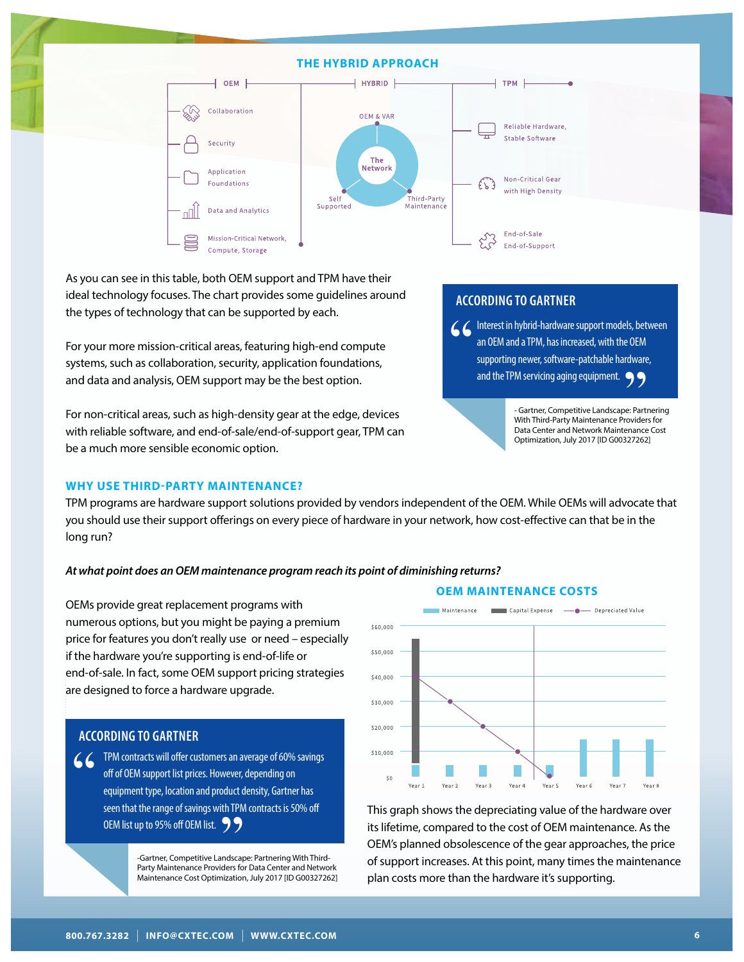#### **THE HYBRID APPROACH**



As you can see in this table, both OEM support and TPM have their ideal technology focuses. The chart provides some guidelines around the types of technology that can be supported by each.

For your more mission-critical areas, featuring high-end compute systems, such as collaboration, security, application foundations, and data and analysis, OEM support may be the best option.

For non-critical areas, such as high-density gear at the edge, devices with reliable software, and end-of-sale/end-of-support gear, TPM can be a much more sensible economic option.

#### **WHY USE THIRD-PARTY MAINTENANCE?**

# **ACCORDING TO GARTNER**

**1 C C** Interest in hybrid-hardware support models, between<br>an OEM and a TPM, has increased, with the OEM<br>supporting newer, software-patchable hardware,<br>and the TPM servicing aging equipment. an OEM and a TPM, has increased, with the OEM supporting newer, software-patchable hardware,

and the TPM servicing aging equipment.<br>
Gartner, Competitive Landscape: Partner<br>
With Third-Party Maintenance Providers<br>
Data Center and Network Maintenance - Gartner, Competitive Landscape: Partnering With Third-Party Maintenance Providers for Data Center and Network Maintenance Cost Optimization, July 2017 [ID G00327262]

TPM programs are hardware support solutions provided by vendors independent of the OEM. While OEMs will advocate that you should use their support offerings on every piece of hardware in your network, how cost-effective can that be in the long run?

#### *At what point does an OEM maintenance program reach its point of diminishing returns?*

OEMs provide great replacement programs with numerous options, but you might be paying a premium price for features you don't really use or need – especially if the hardware you're supporting is end-of-life or end-of-sale. In fact, some OEM support pricing strategies are designed to force a hardware upgrade.



# **ACCORDING TO GARTNER**

GC TPM contracts will offer customers an average of 60% savings<br>off of OEM support list prices. However, depending on<br>equipment type, location and product density, Gartner has<br>seen that the range of savings with TPM contra off of OEM support list prices. However, depending on equipment type, location and product density, Gartner has seen that the range of savings with TPM contracts is 50% off

OEM list up to 95% off OEM list.<br>
COEM list up to 95% off OEM list.<br>
Cartner, Competitive Landscap<br>
Party Maintenance Providers for<br>
Maintenance Providers for -Gartner, Competitive Landscape: Partnering With Third-Party Maintenance Providers for Data Center and Network Maintenance Cost Optimization, July 2017 [ID G00327262] This graph shows the depreciating value of the hardware over its lifetime, compared to the cost of OEM maintenance. As the OEM's planned obsolescence of the gear approaches, the price of support increases. At this point, many times the maintenance plan costs more than the hardware it's supporting.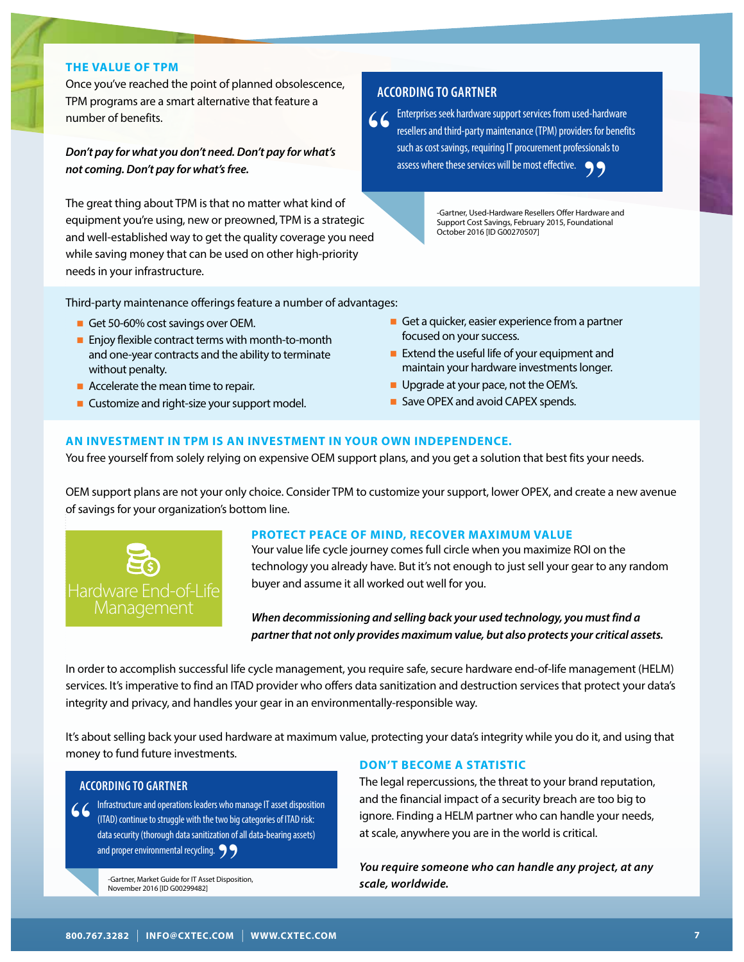#### **THE VALUE OF TPM**

Once you've reached the point of planned obsolescence, TPM programs are a smart alternative that feature a number of benefits.

### *Don't pay for what you don't need. Don't pay for what's not coming. Don't pay for what's free.*

The great thing about TPM is that no matter what kind of equipment you're using, new or preowned, TPM is a strategic and well-established way to get the quality coverage you need while saving money that can be used on other high-priority needs in your infrastructure.

#### **ACCORDING TO GARTNER**

**Enterprises seek hardware support services from used-hardware** resellers and third-party maintenance (TPM) providers for benefit such as cost savings, requiring IT procurement professionals to assess where these services resellers and third-party maintenance (TPM) providers for benefits such as cost savings, requiring IT procurement professionals to assess where these services will be most effective. re these services will be most effective.<br>
-Gartner, Used-Hardware Resellers Offer Hardware and<br>
Support Cost Swings February 2015 Equipositional

Support Cost Savings, February 2015, Foundational October 2016 [ID G00270507]

Third-party maintenance offerings feature a number of advantages:

- Get 50-60% cost savings over OEM.
- $\blacksquare$  Enjoy flexible contract terms with month-to-month and one-year contracts and the ability to terminate without penalty.
- $\blacksquare$  Accelerate the mean time to repair.
- Customize and right-size your support model.
- Get a quicker, easier experience from a partner focused on your success.
- $\blacksquare$  Extend the useful life of your equipment and maintain your hardware investments longer.
- **Deparade at your pace, not the OEM's.**
- Save OPEX and avoid CAPEX spends.

## **AN INVESTMENT IN TPM IS AN INVESTMENT IN YOUR OWN INDEPENDENCE.**

You free yourself from solely relying on expensive OEM support plans, and you get a solution that best fits your needs.

OEM support plans are not your only choice. Consider TPM to customize your support, lower OPEX, and create a new avenue of savings for your organization's bottom line.



#### **PROTECT PEACE OF MIND, RECOVER MAXIMUM VALUE**

Your value life cycle journey comes full circle when you maximize ROI on the technology you already have. But it's not enough to just sell your gear to any random buyer and assume it all worked out well for you.

*When decommissioning and selling back your used technology, you must find a partner that not only provides maximum value, but also protects your critical assets.*

In order to accomplish successful life cycle management, you require safe, secure hardware end-of-life management (HELM) services. It's imperative to find an ITAD provider who offers data sanitization and destruction services that protect your data's integrity and privacy, and handles your gear in an environmentally-responsible way.

It's about selling back your used hardware at maximum value, protecting your data's integrity while you do it, and using that money to fund future investments.

#### **ACCORDING TO GARTNER**

**4** (ITAD) continue to struggle with the two big categories of ITAD risk:<br>data security (thorough data sanitization of all data-bearing assets)<br>and proper environmental recycling. <br>**9** (ITAD) continue to struggle with the two big categories of ITAD risk: data security (thorough data sanitization of all data-bearing assets) and proper environmental recycling.<br>
For the Santher, Market Guide for IT Asset Disposit<br>
November 2016 [ID G00299482]

-Gartner, Market Guide for IT Asset Disposition, November 2016 [ID G00299482]

#### **DON'T BECOME A STATISTIC**

The legal repercussions, the threat to your brand reputation, and the financial impact of a security breach are too big to ignore. Finding a HELM partner who can handle your needs, at scale, anywhere you are in the world is critical.

*You require someone who can handle any project, at any scale, worldwide.*